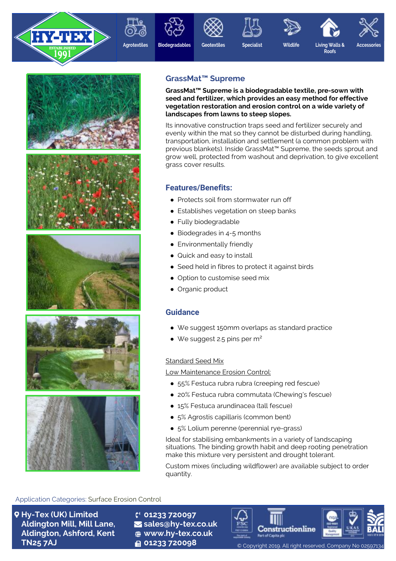













**Accessories**

**Roofs**







# **GrassMat™ Supreme**

**GrassMat™ Supreme is a biodegradable textile, pre-sown with seed and fertilizer, which provides an easy method for effective vegetation restoration and erosion control on a wide variety of landscapes from lawns to steep slopes.**

Its innovative construction traps seed and fertilizer securely and evenly within the mat so they cannot be disturbed during handling, transportation, installation and settlement (a common problem with previous blankets). Inside GrassMat™ Supreme, the seeds sprout and grow well, protected from washout and deprivation, to give excellent grass cover results.

# **Features/Benefits:**

- Protects soil from stormwater run off
- Establishes vegetation on steep banks
- Fully biodegradable
- Biodegrades in 4-5 months
- Environmentally friendly
- Quick and easy to install
- Seed held in fibres to protect it against birds
- Option to customise seed mix
- Organic product

## **Guidance**

- We suggest 150mm overlaps as standard practice
- We suggest 2.5 pins per  $m<sup>2</sup>$

### Standard Seed Mix

Low Maintenance Erosion Control:

- 55% Festuca rubra rubra (creeping red fescue)
- 20% Festuca rubra commutata (Chewing's fescue)
- 15% Festuca arundinacea (tall fescue)
- 5% Agrostis capillaris (common bent)
- 5% Lolium perenne (perennial rye-grass)

Ideal for stabilising embankments in a variety of landscaping situations. The binding growth habit and deep rooting penetration make this mixture very persistent and drought tolerant.

Custom mixes (including wildflower) are available subject to order quantity.

### Application Categories: Surface Erosion Control

**Hy-Tex (UK) Limited Aldington Mill, Mill Lane, Aldington, Ashford, Kent TN25 7AJ**

**01233 720097 sales@hy-tex.co.uk www.hy-tex.co.uk**